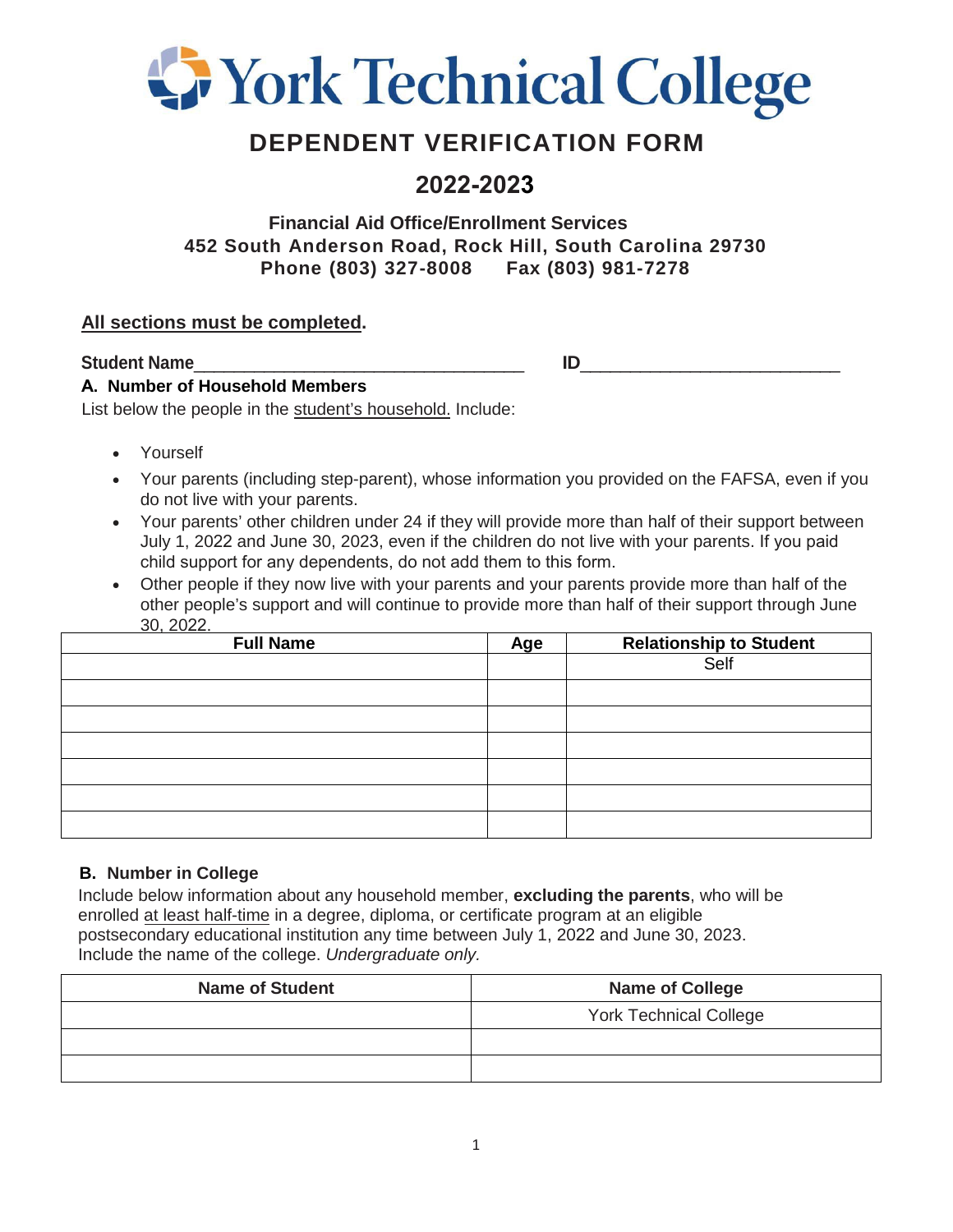

# **DEPENDENT VERIFICATION FORM**

## **2022-2023**

## **Financial Aid Office/Enrollment Services 452 South Anderson Road, Rock Hill, South Carolina 29730 Phone (803) 327-8008 Fax (803) 981-7278**

### **All sections must be completed.**

**Student Name** 

### **A. Number of Household Members**

List below the people in the student's household. Include:

- Yourself
- Your parents (including step-parent), whose information you provided on the FAFSA, even if you do not live with your parents.
- Your parents' other children under 24 if they will provide more than half of their support between July 1, 2022 and June 30, 2023, even if the children do not live with your parents. If you paid child support for any dependents, do not add them to this form.
- Other people if they now live with your parents and your parents provide more than half of the other people's support and will continue to provide more than half of their support through June 30, 2022.

| - - - - - - - -<br><b>Full Name</b> | Age | <b>Relationship to Student</b><br>Self |
|-------------------------------------|-----|----------------------------------------|
|                                     |     |                                        |
|                                     |     |                                        |
|                                     |     |                                        |
|                                     |     |                                        |
|                                     |     |                                        |
|                                     |     |                                        |
|                                     |     |                                        |

### **B. Number in College**

Include below information about any household member, **excluding the parents**, who will be enrolled at least half-time in a degree, diploma, or certificate program at an eligible postsecondary educational institution any time between July 1, 2022 and June 30, 2023. Include the name of the college. *Undergraduate only.*

| <b>Name of Student</b> | <b>Name of College</b>        |
|------------------------|-------------------------------|
|                        | <b>York Technical College</b> |
|                        |                               |
|                        |                               |